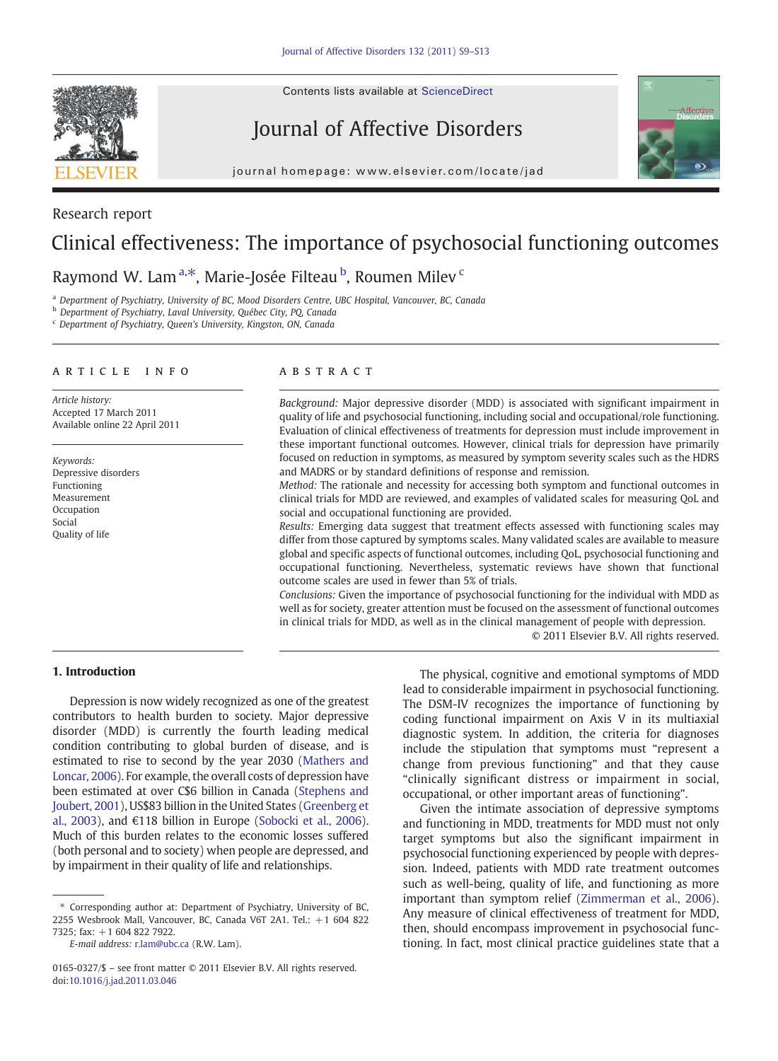Contents lists available at [ScienceDirect](http://www.sciencedirect.com/science/journal/01650327)



Research report

# Journal of Affective Disorders



journal homepage: www.elsevier.com/locate/jad

# Clinical effectiveness: The importance of psychosocial functioning outcomes

## Raymond W. Lam<sup>a,\*</sup>, Marie-Josée Filteau <sup>b</sup>, Roumen Milev <sup>c</sup>

<sup>a</sup> Department of Psychiatry, University of BC, Mood Disorders Centre, UBC Hospital, Vancouver, BC, Canada

<sup>b</sup> Department of Psychiatry, Laval University, Québec City, PQ, Canada

<sup>c</sup> Department of Psychiatry, Queen's University, Kingston, ON, Canada

#### article info abstract

Article history: Accepted 17 March 2011 Available online 22 April 2011

Keywords: Depressive disorders Functioning Measurement Occupation Social Quality of life

Background: Major depressive disorder (MDD) is associated with significant impairment in quality of life and psychosocial functioning, including social and occupational/role functioning. Evaluation of clinical effectiveness of treatments for depression must include improvement in these important functional outcomes. However, clinical trials for depression have primarily focused on reduction in symptoms, as measured by symptom severity scales such as the HDRS and MADRS or by standard definitions of response and remission.

Method: The rationale and necessity for accessing both symptom and functional outcomes in clinical trials for MDD are reviewed, and examples of validated scales for measuring QoL and social and occupational functioning are provided.

Results: Emerging data suggest that treatment effects assessed with functioning scales may differ from those captured by symptoms scales. Many validated scales are available to measure global and specific aspects of functional outcomes, including QoL, psychosocial functioning and occupational functioning. Nevertheless, systematic reviews have shown that functional outcome scales are used in fewer than 5% of trials.

Conclusions: Given the importance of psychosocial functioning for the individual with MDD as well as for society, greater attention must be focused on the assessment of functional outcomes in clinical trials for MDD, as well as in the clinical management of people with depression.

© 2011 Elsevier B.V. All rights reserved.

#### 1. Introduction

Depression is now widely recognized as one of the greatest contributors to health burden to society. Major depressive disorder (MDD) is currently the fourth leading medical condition contributing to global burden of disease, and is estimated to rise to second by the year 2030 ([Mathers and](#page-4-0) [Loncar, 2006\)](#page-4-0). For example, the overall costs of depression have been estimated at over C\$6 billion in Canada [\(Stephens and](#page-4-0) [Joubert, 2001\)](#page-4-0), US\$83 billion in the United States [\(Greenberg et](#page-4-0) [al., 2003\)](#page-4-0), and €118 billion in Europe [\(Sobocki et al., 2006\)](#page-4-0). Much of this burden relates to the economic losses suffered (both personal and to society) when people are depressed, and by impairment in their quality of life and relationships.

The physical, cognitive and emotional symptoms of MDD lead to considerable impairment in psychosocial functioning. The DSM-IV recognizes the importance of functioning by coding functional impairment on Axis V in its multiaxial diagnostic system. In addition, the criteria for diagnoses include the stipulation that symptoms must "represent a change from previous functioning" and that they cause "clinically significant distress or impairment in social, occupational, or other important areas of functioning".

Given the intimate association of depressive symptoms and functioning in MDD, treatments for MDD must not only target symptoms but also the significant impairment in psychosocial functioning experienced by people with depression. Indeed, patients with MDD rate treatment outcomes such as well-being, quality of life, and functioning as more important than symptom relief ([Zimmerman et al., 2006\)](#page-4-0). Any measure of clinical effectiveness of treatment for MDD, then, should encompass improvement in psychosocial functioning. In fact, most clinical practice guidelines state that a

<sup>⁎</sup> Corresponding author at: Department of Psychiatry, University of BC, 2255 Wesbrook Mall, Vancouver, BC, Canada V6T 2A1. Tel.: +1 604 822 7325; fax: +1 604 822 7922.

E-mail address: [r.lam@ubc.ca](mailto:r.lam@ubc.ca) (R.W. Lam).

<sup>0165-0327/\$</sup> – see front matter © 2011 Elsevier B.V. All rights reserved. doi[:10.1016/j.jad.2011.03.046](http://dx.doi.org/10.1016/j.jad.2011.03.046)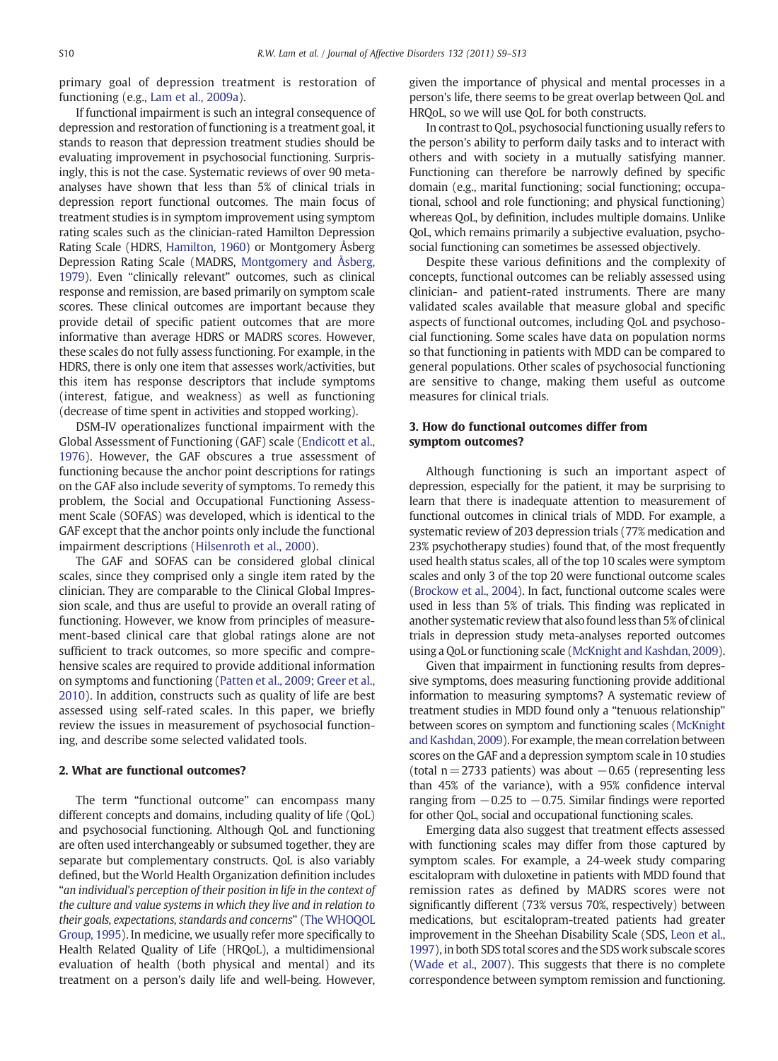primary goal of depression treatment is restoration of functioning (e.g., [Lam et al., 2009a\)](#page-4-0).

If functional impairment is such an integral consequence of depression and restoration of functioning is a treatment goal, it stands to reason that depression treatment studies should be evaluating improvement in psychosocial functioning. Surprisingly, this is not the case. Systematic reviews of over 90 metaanalyses have shown that less than 5% of clinical trials in depression report functional outcomes. The main focus of treatment studies is in symptom improvement using symptom rating scales such as the clinician-rated Hamilton Depression Rating Scale (HDRS, [Hamilton, 1960\)](#page-4-0) or Montgomery Åsberg Depression Rating Scale (MADRS, [Montgomery and Åsberg,](#page-4-0) [1979](#page-4-0)). Even "clinically relevant" outcomes, such as clinical response and remission, are based primarily on symptom scale scores. These clinical outcomes are important because they provide detail of specific patient outcomes that are more informative than average HDRS or MADRS scores. However, these scales do not fully assess functioning. For example, in the HDRS, there is only one item that assesses work/activities, but this item has response descriptors that include symptoms (interest, fatigue, and weakness) as well as functioning (decrease of time spent in activities and stopped working).

DSM-IV operationalizes functional impairment with the Global Assessment of Functioning (GAF) scale [\(Endicott et al.,](#page-4-0) [1976](#page-4-0)). However, the GAF obscures a true assessment of functioning because the anchor point descriptions for ratings on the GAF also include severity of symptoms. To remedy this problem, the Social and Occupational Functioning Assessment Scale (SOFAS) was developed, which is identical to the GAF except that the anchor points only include the functional impairment descriptions ([Hilsenroth et al., 2000\)](#page-4-0).

The GAF and SOFAS can be considered global clinical scales, since they comprised only a single item rated by the clinician. They are comparable to the Clinical Global Impression scale, and thus are useful to provide an overall rating of functioning. However, we know from principles of measurement-based clinical care that global ratings alone are not sufficient to track outcomes, so more specific and comprehensive scales are required to provide additional information on symptoms and functioning ([Patten et al., 2009; Greer et al.,](#page-4-0) [2010](#page-4-0)). In addition, constructs such as quality of life are best assessed using self-rated scales. In this paper, we briefly review the issues in measurement of psychosocial functioning, and describe some selected validated tools.

#### 2. What are functional outcomes?

The term "functional outcome" can encompass many different concepts and domains, including quality of life (QoL) and psychosocial functioning. Although QoL and functioning are often used interchangeably or subsumed together, they are separate but complementary constructs. QoL is also variably defined, but the World Health Organization definition includes "an individual's perception of their position in life in the context of the culture and value systems in which they live and in relation to their goals, expectations, standards and concerns" [\(The WHOQOL](#page-4-0) [Group, 1995\)](#page-4-0). In medicine, we usually refer more specifically to Health Related Quality of Life (HRQoL), a multidimensional evaluation of health (both physical and mental) and its treatment on a person's daily life and well-being. However, given the importance of physical and mental processes in a person's life, there seems to be great overlap between QoL and HRQoL, so we will use QoL for both constructs.

In contrast to QoL, psychosocial functioning usually refers to the person's ability to perform daily tasks and to interact with others and with society in a mutually satisfying manner. Functioning can therefore be narrowly defined by specific domain (e.g., marital functioning; social functioning; occupational, school and role functioning; and physical functioning) whereas QoL, by definition, includes multiple domains. Unlike QoL, which remains primarily a subjective evaluation, psychosocial functioning can sometimes be assessed objectively.

Despite these various definitions and the complexity of concepts, functional outcomes can be reliably assessed using clinician- and patient-rated instruments. There are many validated scales available that measure global and specific aspects of functional outcomes, including QoL and psychosocial functioning. Some scales have data on population norms so that functioning in patients with MDD can be compared to general populations. Other scales of psychosocial functioning are sensitive to change, making them useful as outcome measures for clinical trials.

### 3. How do functional outcomes differ from symptom outcomes?

Although functioning is such an important aspect of depression, especially for the patient, it may be surprising to learn that there is inadequate attention to measurement of functional outcomes in clinical trials of MDD. For example, a systematic review of 203 depression trials (77% medication and 23% psychotherapy studies) found that, of the most frequently used health status scales, all of the top 10 scales were symptom scales and only 3 of the top 20 were functional outcome scales ([Brockow et al., 2004\)](#page-4-0). In fact, functional outcome scales were used in less than 5% of trials. This finding was replicated in another systematic review that also found less than 5% of clinical trials in depression study meta-analyses reported outcomes using a QoL or functioning scale [\(McKnight and Kashdan, 2009](#page-4-0)).

Given that impairment in functioning results from depressive symptoms, does measuring functioning provide additional information to measuring symptoms? A systematic review of treatment studies in MDD found only a "tenuous relationship" between scores on symptom and functioning scales [\(McKnight](#page-4-0) [and Kashdan, 2009\)](#page-4-0). For example, the mean correlation between scores on the GAF and a depression symptom scale in 10 studies (total  $n=2733$  patients) was about  $-0.65$  (representing less than 45% of the variance), with a 95% confidence interval ranging from  $-0.25$  to  $-0.75$ . Similar findings were reported for other QoL, social and occupational functioning scales.

Emerging data also suggest that treatment effects assessed with functioning scales may differ from those captured by symptom scales. For example, a 24-week study comparing escitalopram with duloxetine in patients with MDD found that remission rates as defined by MADRS scores were not significantly different (73% versus 70%, respectively) between medications, but escitalopram-treated patients had greater improvement in the Sheehan Disability Scale (SDS, [Leon et al.,](#page-4-0) [1997](#page-4-0)), in both SDS total scores and the SDS work subscale scores ([Wade et al., 2007\)](#page-4-0). This suggests that there is no complete correspondence between symptom remission and functioning.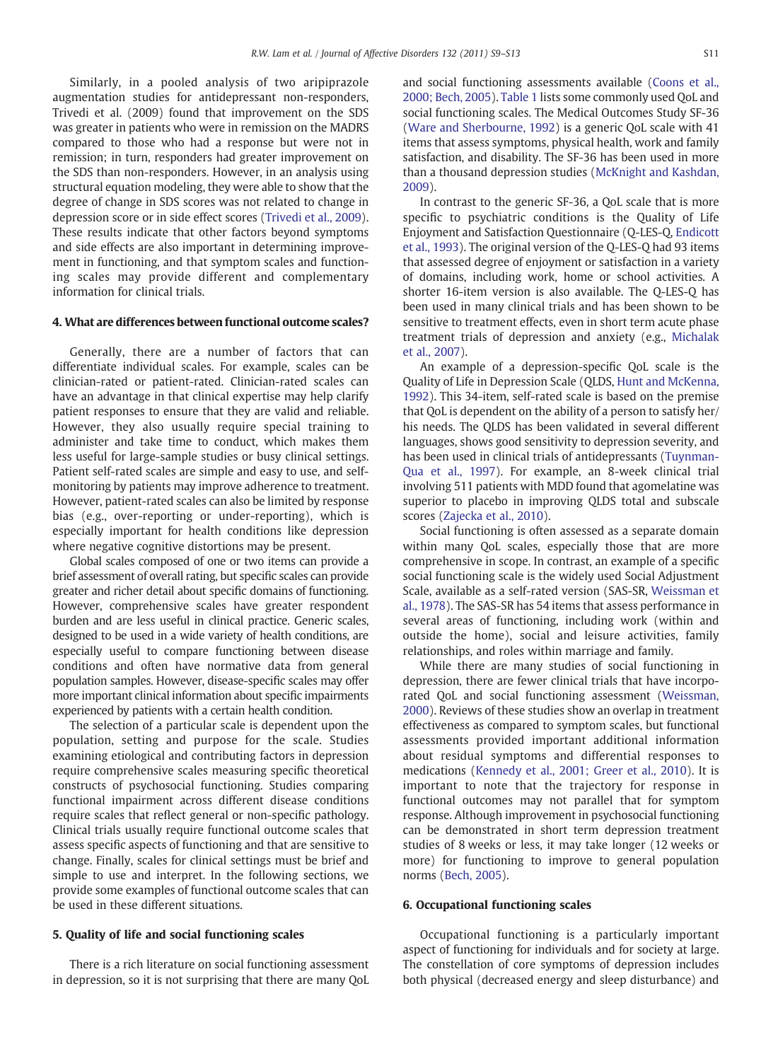Similarly, in a pooled analysis of two aripiprazole augmentation studies for antidepressant non-responders, Trivedi et al. (2009) found that improvement on the SDS was greater in patients who were in remission on the MADRS compared to those who had a response but were not in remission; in turn, responders had greater improvement on the SDS than non-responders. However, in an analysis using structural equation modeling, they were able to show that the degree of change in SDS scores was not related to change in depression score or in side effect scores ([Trivedi et al., 2009\)](#page-4-0). These results indicate that other factors beyond symptoms and side effects are also important in determining improvement in functioning, and that symptom scales and functioning scales may provide different and complementary information for clinical trials.

### 4. What are differences between functional outcome scales?

Generally, there are a number of factors that can differentiate individual scales. For example, scales can be clinician-rated or patient-rated. Clinician-rated scales can have an advantage in that clinical expertise may help clarify patient responses to ensure that they are valid and reliable. However, they also usually require special training to administer and take time to conduct, which makes them less useful for large-sample studies or busy clinical settings. Patient self-rated scales are simple and easy to use, and selfmonitoring by patients may improve adherence to treatment. However, patient-rated scales can also be limited by response bias (e.g., over-reporting or under-reporting), which is especially important for health conditions like depression where negative cognitive distortions may be present.

Global scales composed of one or two items can provide a brief assessment of overall rating, but specific scales can provide greater and richer detail about specific domains of functioning. However, comprehensive scales have greater respondent burden and are less useful in clinical practice. Generic scales, designed to be used in a wide variety of health conditions, are especially useful to compare functioning between disease conditions and often have normative data from general population samples. However, disease-specific scales may offer more important clinical information about specific impairments experienced by patients with a certain health condition.

The selection of a particular scale is dependent upon the population, setting and purpose for the scale. Studies examining etiological and contributing factors in depression require comprehensive scales measuring specific theoretical constructs of psychosocial functioning. Studies comparing functional impairment across different disease conditions require scales that reflect general or non-specific pathology. Clinical trials usually require functional outcome scales that assess specific aspects of functioning and that are sensitive to change. Finally, scales for clinical settings must be brief and simple to use and interpret. In the following sections, we provide some examples of functional outcome scales that can be used in these different situations.

#### 5. Quality of life and social functioning scales

There is a rich literature on social functioning assessment in depression, so it is not surprising that there are many QoL and social functioning assessments available ([Coons et al.,](#page-4-0) [2000; Bech, 2005\)](#page-4-0). [Table 1](#page-3-0) lists some commonly used QoL and social functioning scales. The Medical Outcomes Study SF-36 ([Ware and Sherbourne, 1992](#page-4-0)) is a generic QoL scale with 41 items that assess symptoms, physical health, work and family satisfaction, and disability. The SF-36 has been used in more than a thousand depression studies ([McKnight and Kashdan,](#page-4-0) [2009](#page-4-0)).

In contrast to the generic SF-36, a QoL scale that is more specific to psychiatric conditions is the Quality of Life Enjoyment and Satisfaction Questionnaire (Q-LES-Q, [Endicott](#page-4-0) [et al., 1993\)](#page-4-0). The original version of the Q-LES-Q had 93 items that assessed degree of enjoyment or satisfaction in a variety of domains, including work, home or school activities. A shorter 16-item version is also available. The Q-LES-Q has been used in many clinical trials and has been shown to be sensitive to treatment effects, even in short term acute phase treatment trials of depression and anxiety (e.g., [Michalak](#page-4-0) [et al., 2007\)](#page-4-0).

An example of a depression-specific QoL scale is the Quality of Life in Depression Scale (QLDS, [Hunt and McKenna,](#page-4-0) [1992](#page-4-0)). This 34-item, self-rated scale is based on the premise that QoL is dependent on the ability of a person to satisfy her/ his needs. The QLDS has been validated in several different languages, shows good sensitivity to depression severity, and has been used in clinical trials of antidepressants ([Tuynman-](#page-4-0)[Qua et al., 1997\)](#page-4-0). For example, an 8-week clinical trial involving 511 patients with MDD found that agomelatine was superior to placebo in improving QLDS total and subscale scores [\(Zajecka et al., 2010](#page-4-0)).

Social functioning is often assessed as a separate domain within many QoL scales, especially those that are more comprehensive in scope. In contrast, an example of a specific social functioning scale is the widely used Social Adjustment Scale, available as a self-rated version (SAS-SR, [Weissman et](#page-4-0) [al., 1978\)](#page-4-0). The SAS-SR has 54 items that assess performance in several areas of functioning, including work (within and outside the home), social and leisure activities, family relationships, and roles within marriage and family.

While there are many studies of social functioning in depression, there are fewer clinical trials that have incorporated QoL and social functioning assessment [\(Weissman,](#page-4-0) [2000](#page-4-0)). Reviews of these studies show an overlap in treatment effectiveness as compared to symptom scales, but functional assessments provided important additional information about residual symptoms and differential responses to medications ([Kennedy et al., 2001; Greer et al., 2010](#page-4-0)). It is important to note that the trajectory for response in functional outcomes may not parallel that for symptom response. Although improvement in psychosocial functioning can be demonstrated in short term depression treatment studies of 8 weeks or less, it may take longer (12 weeks or more) for functioning to improve to general population norms [\(Bech, 2005\)](#page-3-0).

#### 6. Occupational functioning scales

Occupational functioning is a particularly important aspect of functioning for individuals and for society at large. The constellation of core symptoms of depression includes both physical (decreased energy and sleep disturbance) and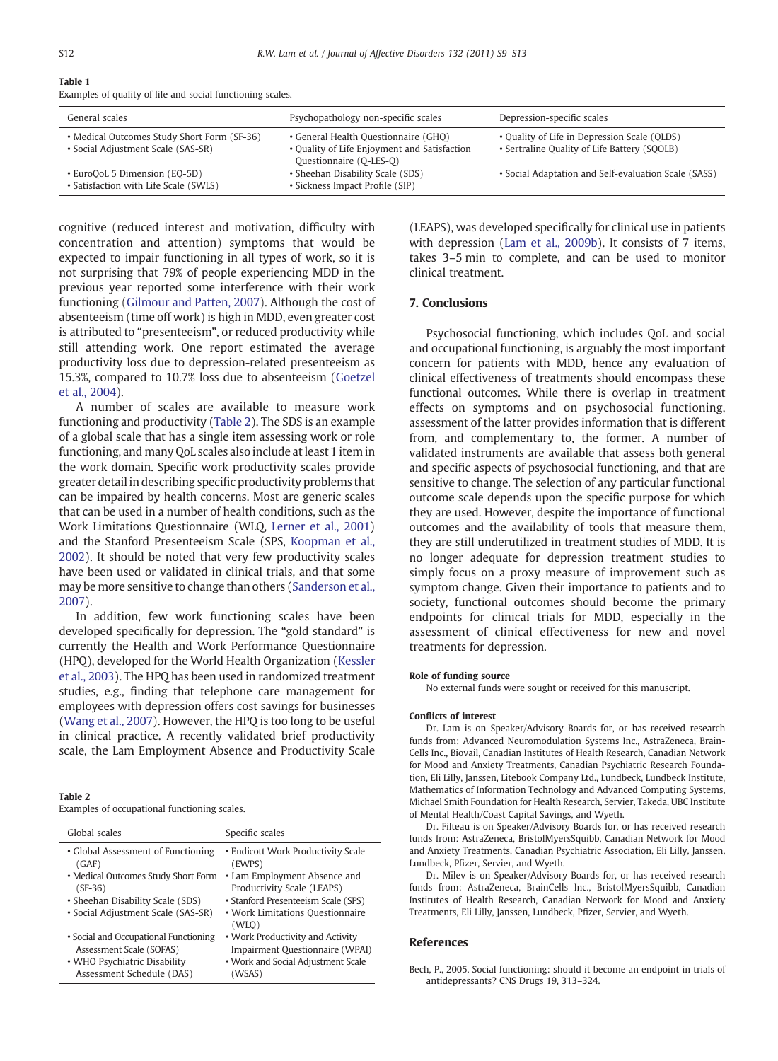<span id="page-3-0"></span>

|--|--|

Examples of quality of life and social functioning scales.

| General scales                                                                    | Psychopathology non-specific scales                                                                             | Depression-specific scales                                                                   |
|-----------------------------------------------------------------------------------|-----------------------------------------------------------------------------------------------------------------|----------------------------------------------------------------------------------------------|
| • Medical Outcomes Study Short Form (SF-36)<br>• Social Adjustment Scale (SAS-SR) | • General Health Questionnaire (GHQ)<br>• Quality of Life Enjoyment and Satisfaction<br>Questionnaire (Q-LES-Q) | • Quality of Life in Depression Scale (QLDS)<br>• Sertraline Quality of Life Battery (SQOLB) |
| • EuroQoL 5 Dimension (EQ-5D)<br>• Satisfaction with Life Scale (SWLS)            | • Sheehan Disability Scale (SDS)<br>• Sickness Impact Profile (SIP)                                             | • Social Adaptation and Self-evaluation Scale (SASS)                                         |

cognitive (reduced interest and motivation, difficulty with concentration and attention) symptoms that would be expected to impair functioning in all types of work, so it is not surprising that 79% of people experiencing MDD in the previous year reported some interference with their work functioning ([Gilmour and Patten, 2007\)](#page-4-0). Although the cost of absenteeism (time off work) is high in MDD, even greater cost is attributed to "presenteeism", or reduced productivity while still attending work. One report estimated the average productivity loss due to depression-related presenteeism as 15.3%, compared to 10.7% loss due to absenteeism ([Goetzel](#page-4-0) [et al., 2004](#page-4-0)).

A number of scales are available to measure work functioning and productivity (Table 2). The SDS is an example of a global scale that has a single item assessing work or role functioning, and many QoL scales also include at least 1 item in the work domain. Specific work productivity scales provide greater detail in describing specific productivity problems that can be impaired by health concerns. Most are generic scales that can be used in a number of health conditions, such as the Work Limitations Questionnaire (WLQ, [Lerner et al., 2001\)](#page-4-0) and the Stanford Presenteeism Scale (SPS, [Koopman et al.,](#page-4-0) [2002](#page-4-0)). It should be noted that very few productivity scales have been used or validated in clinical trials, and that some may be more sensitive to change than others ([Sanderson et al.,](#page-4-0) [2007](#page-4-0)).

In addition, few work functioning scales have been developed specifically for depression. The "gold standard" is currently the Health and Work Performance Questionnaire (HPQ), developed for the World Health Organization [\(Kessler](#page-4-0) [et al., 2003\)](#page-4-0). The HPQ has been used in randomized treatment studies, e.g., finding that telephone care management for employees with depression offers cost savings for businesses ([Wang et al., 2007\)](#page-4-0). However, the HPQ is too long to be useful in clinical practice. A recently validated brief productivity scale, the Lam Employment Absence and Productivity Scale

#### Table 2

Examples of occupational functioning scales.

| Global scales                                                     | Specific scales                                                     |
|-------------------------------------------------------------------|---------------------------------------------------------------------|
| • Global Assessment of Functioning<br>(GAF)                       | • Endicott Work Productivity Scale<br>(EWPS)                        |
| • Medical Outcomes Study Short Form<br>$(SF-36)$                  | • Lam Employment Absence and<br>Productivity Scale (LEAPS)          |
| • Sheehan Disability Scale (SDS)                                  | • Stanford Presenteeism Scale (SPS)                                 |
| • Social Adjustment Scale (SAS-SR)                                | • Work Limitations Questionnaire<br>(WLO)                           |
| • Social and Occupational Functioning<br>Assessment Scale (SOFAS) | • Work Productivity and Activity<br>Impairment Questionnaire (WPAI) |
| • WHO Psychiatric Disability                                      | • Work and Social Adjustment Scale                                  |
| Assessment Schedule (DAS)                                         | (WSAS)                                                              |

(LEAPS), was developed specifically for clinical use in patients with depression ([Lam et al., 2009b\)](#page-4-0). It consists of 7 items, takes 3–5 min to complete, and can be used to monitor clinical treatment.

#### 7. Conclusions

Psychosocial functioning, which includes QoL and social and occupational functioning, is arguably the most important concern for patients with MDD, hence any evaluation of clinical effectiveness of treatments should encompass these functional outcomes. While there is overlap in treatment effects on symptoms and on psychosocial functioning, assessment of the latter provides information that is different from, and complementary to, the former. A number of validated instruments are available that assess both general and specific aspects of psychosocial functioning, and that are sensitive to change. The selection of any particular functional outcome scale depends upon the specific purpose for which they are used. However, despite the importance of functional outcomes and the availability of tools that measure them, they are still underutilized in treatment studies of MDD. It is no longer adequate for depression treatment studies to simply focus on a proxy measure of improvement such as symptom change. Given their importance to patients and to society, functional outcomes should become the primary endpoints for clinical trials for MDD, especially in the assessment of clinical effectiveness for new and novel treatments for depression.

#### Role of funding source

No external funds were sought or received for this manuscript.

#### Conflicts of interest

Dr. Lam is on Speaker/Advisory Boards for, or has received research funds from: Advanced Neuromodulation Systems Inc., AstraZeneca, Brain-Cells Inc., Biovail, Canadian Institutes of Health Research, Canadian Network for Mood and Anxiety Treatments, Canadian Psychiatric Research Foundation, Eli Lilly, Janssen, Litebook Company Ltd., Lundbeck, Lundbeck Institute, Mathematics of Information Technology and Advanced Computing Systems, Michael Smith Foundation for Health Research, Servier, Takeda, UBC Institute of Mental Health/Coast Capital Savings, and Wyeth.

Dr. Filteau is on Speaker/Advisory Boards for, or has received research funds from: AstraZeneca, BristolMyersSquibb, Canadian Network for Mood and Anxiety Treatments, Canadian Psychiatric Association, Eli Lilly, Janssen, Lundbeck, Pfizer, Servier, and Wyeth.

Dr. Milev is on Speaker/Advisory Boards for, or has received research funds from: AstraZeneca, BrainCells Inc., BristolMyersSquibb, Canadian Institutes of Health Research, Canadian Network for Mood and Anxiety Treatments, Eli Lilly, Janssen, Lundbeck, Pfizer, Servier, and Wyeth.

#### **References**

Bech, P., 2005. Social functioning: should it become an endpoint in trials of antidepressants? CNS Drugs 19, 313–324.